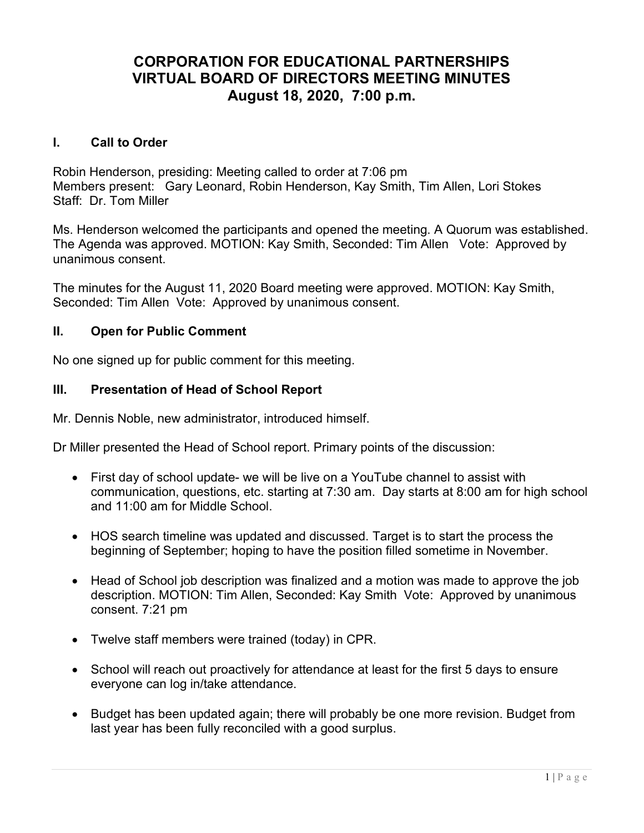# CORPORATION FOR EDUCATIONAL PARTNERSHIPS VIRTUAL BOARD OF DIRECTORS MEETING MINUTES August 18, 2020, 7:00 p.m.

## I. Call to Order

Robin Henderson, presiding: Meeting called to order at 7:06 pm Members present: Gary Leonard, Robin Henderson, Kay Smith, Tim Allen, Lori Stokes Staff: Dr. Tom Miller

Ms. Henderson welcomed the participants and opened the meeting. A Quorum was established. The Agenda was approved. MOTION: Kay Smith, Seconded: Tim Allen Vote: Approved by unanimous consent.

The minutes for the August 11, 2020 Board meeting were approved. MOTION: Kay Smith, Seconded: Tim Allen Vote: Approved by unanimous consent.

# II. Open for Public Comment

No one signed up for public comment for this meeting.

# III. Presentation of Head of School Report

Mr. Dennis Noble, new administrator, introduced himself.

Dr Miller presented the Head of School report. Primary points of the discussion:

- First day of school update- we will be live on a YouTube channel to assist with communication, questions, etc. starting at 7:30 am. Day starts at 8:00 am for high school and 11:00 am for Middle School.
- HOS search timeline was updated and discussed. Target is to start the process the beginning of September; hoping to have the position filled sometime in November.
- Head of School job description was finalized and a motion was made to approve the job description. MOTION: Tim Allen, Seconded: Kay Smith Vote: Approved by unanimous consent. 7:21 pm
- Twelve staff members were trained (today) in CPR.
- School will reach out proactively for attendance at least for the first 5 days to ensure everyone can log in/take attendance.
- Budget has been updated again; there will probably be one more revision. Budget from last year has been fully reconciled with a good surplus.